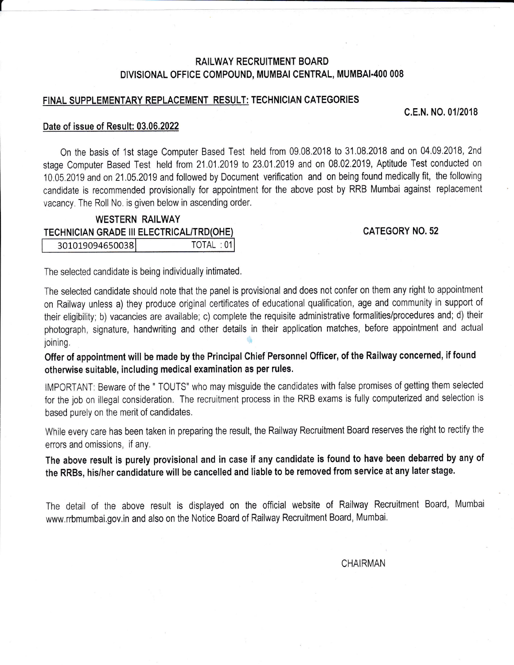# RAILWAY RECRUITMENT BOARD DIVISIONAL OFFICE COMPOUND, MUMBAI CENTRAL, MUMBAI-400 008

# FINAL SUPPLEMENTARY REPLACEMENT RESULT: TECHNICIAN CATEGORIES

## c.E.N. N0.01/2018

### Date of issue of Result: 03.06.2022

I

On the basis of '1st stage Computer Based Test held from 09,08,2018 to 31.08,2018 and on 04.09,2018, 2nd stage Computer Based Test held from 21,01,2019 to 23.01,2019 and on 08.02.2019, Aptitude Test conducted on 10.05.2019 and on 21.05.2019 and followed by Document verification and on being found medically fit, the following candidate is recommended provisionally for appointment for the above post by RRB Mumbai against replacement vacancy. The Roll No. is given below in ascending order,

#### WESTERN RAILWAY TECHNICIAN GRADE III ELECTRICAL/TRD(OHE) TOTAL: 01 301019094650038

# CATEGORY N0.52

The selected candidate is being individually intimated.

The selected candidate should note that the panel is provisional and does not confer on them any right to appointment on Railway unless a) they produce original certificates of educational qualification, age and community in support of their eligibility; b) vacancies are available; c) complete the requisite administrative formalities/procedures and; d) their photograph, signature, handwriting and other details in their application matches, before appointment and actual joining.

Offer of appointment will be made by the Principal Chief Personnel Officer, of the Railway concerned, if found otherwise suitable, including medical examination as per rules.

IMPORTANT: Beware of the " TOUTS' who may misguide the candidates with false promises of getting them selected for the job on illegal consideration. The recruitment process in the RRB exams is fully computerized and selection is based purely on the merit of candidates,

While every care has been taken in preparing the result, the Railway Recruitment Board reserves the right to rectify the errors and omissions, if any.

The above result is purely provisional and in case if any candidate is found to have been debarred by any of the RRBs, his/her candidature will be cancelled and liable to be removed from service at any Iater stage.

The detail of the above result is displayed on the official website of Railway Recruitment Board, Mumbai www.rrbmumbai,gov.in and also on the Notice Board of Railway Recruitment Board, Mumbai,

CHAIRMAN